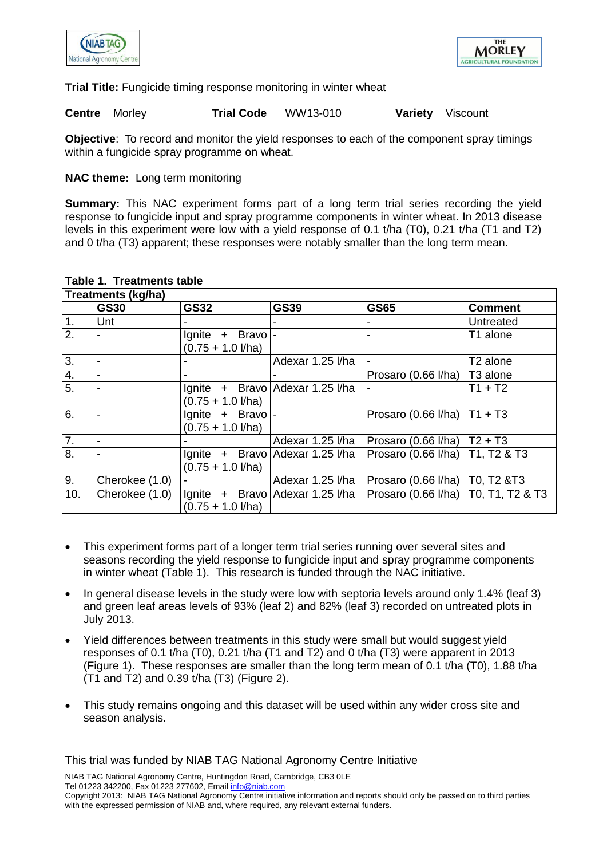



**Trial Title:** Fungicide timing response monitoring in winter wheat

**Centre** Morley **Trial Code** WW13-010 **Variety** Viscount

**Objective**: To record and monitor the yield responses to each of the component spray timings within a fungicide spray programme on wheat.

## **NAC theme:** Long term monitoring

**Summary:** This NAC experiment forms part of a long term trial series recording the yield response to fungicide input and spray programme components in winter wheat. In 2013 disease levels in this experiment were low with a yield response of 0.1 t/ha (T0), 0.21 t/ha (T1 and T2) and 0 t/ha (T3) apparent; these responses were notably smaller than the long term mean.

| <b>Treatments (kg/ha)</b> |                |                                            |                                   |                                       |                      |  |
|---------------------------|----------------|--------------------------------------------|-----------------------------------|---------------------------------------|----------------------|--|
|                           | <b>GS30</b>    | <b>GS32</b>                                | <b>GS39</b>                       | <b>GS65</b>                           | <b>Comment</b>       |  |
| 1.                        | Unt            |                                            |                                   |                                       | Untreated            |  |
| 2.                        |                | $I$ gnite + Bravo -<br>$(0.75 + 1.0$ I/ha) |                                   |                                       | T1 alone             |  |
| 3.                        |                |                                            | Adexar 1.25 I/ha                  |                                       | T <sub>2</sub> alone |  |
| 4.                        |                |                                            |                                   | Prosaro (0.66 I/ha)                   | T <sub>3</sub> alone |  |
| 5.                        |                | $(0.75 + 1.0$ I/ha)                        | Ignite $+$ Bravo Adexar 1.25 I/ha |                                       | $T1 + T2$            |  |
| 6.                        |                | Ignite + Bravo -<br>$(0.75 + 1.0$ I/ha)    |                                   | Prosaro (0.66 l/ha) $ T1 + T3$        |                      |  |
| 7.                        |                |                                            | Adexar 1.25 I/ha                  | Prosaro (0.66 l/ha) $ T2 + T3$        |                      |  |
| 8.                        |                | $(0.75 + 1.0$ I/ha)                        | Ignite $+$ Bravo Adexar 1.25 I/ha | Prosaro (0.66 I/ha)   T1, T2 & T3     |                      |  |
| 9.                        | Cherokee (1.0) |                                            | Adexar 1.25 I/ha                  | Prosaro (0.66 I/ha)   T0, T2 & T3     |                      |  |
| 10.                       | Cherokee (1.0) | $(0.75 + 1.0$ I/ha)                        | Ignite $+$ Bravo Adexar 1.25 I/ha | Prosaro (0.66 I/ha)   T0, T1, T2 & T3 |                      |  |

### **Table 1. Treatments table**

- This experiment forms part of a longer term trial series running over several sites and seasons recording the yield response to fungicide input and spray programme components in winter wheat (Table 1). This research is funded through the NAC initiative.
- In general disease levels in the study were low with septoria levels around only 1.4% (leaf 3) and green leaf areas levels of 93% (leaf 2) and 82% (leaf 3) recorded on untreated plots in July 2013.
- Yield differences between treatments in this study were small but would suggest yield responses of 0.1 t/ha (T0), 0.21 t/ha (T1 and T2) and 0 t/ha (T3) were apparent in 2013 (Figure 1). These responses are smaller than the long term mean of 0.1 t/ha (T0), 1.88 t/ha (T1 and T2) and 0.39 t/ha (T3) (Figure 2).
- This study remains ongoing and this dataset will be used within any wider cross site and season analysis.

This trial was funded by NIAB TAG National Agronomy Centre Initiative

NIAB TAG National Agronomy Centre, Huntingdon Road, Cambridge, CB3 0LE Tel 01223 342200, Fax 01223 277602, Email info@niab.com

Copyright 2013: NIAB TAG National Agronomy Centre initiative information and reports should only be passed on to third parties with the expressed permission of NIAB and, where required, any relevant external funders.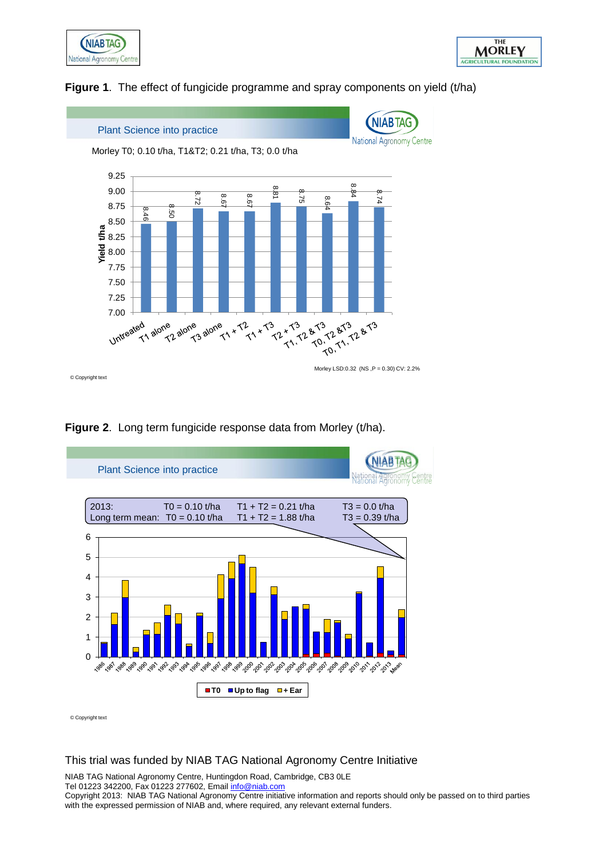



## **Figure 1**. The effect of fungicide programme and spray components on yield (t/ha)



## **Figure 2**. Long term fungicide response data from Morley (t/ha).



© Copyright text

#### This trial was funded by NIAB TAG National Agronomy Centre Initiative

NIAB TAG National Agronomy Centre, Huntingdon Road, Cambridge, CB3 0LE Tel 01223 342200, Fax 01223 277602, Email info@niab.com

Copyright 2013: NIAB TAG National Agronomy Centre initiative information and reports should only be passed on to third parties with the expressed permission of NIAB and, where required, any relevant external funders.